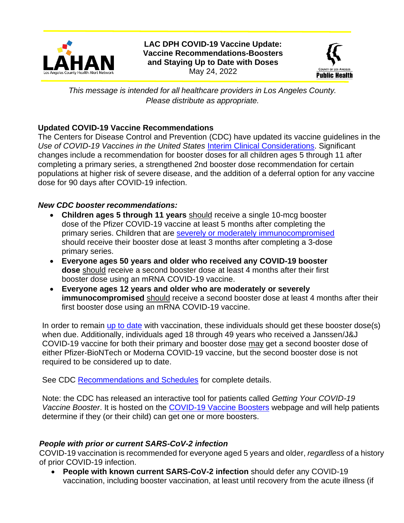

**LAC DPH COVID-19 Vaccine Update: Vaccine Recommendations-Boosters and Staying Up to Date with Doses** May 24, 2022



*This message is intended for all healthcare providers in Los Angeles County. Please distribute as appropriate.*

## **Updated COVID-19 Vaccine Recommendations**

The Centers for Disease Control and Prevention (CDC) have updated its vaccine guidelines in the *Use of COVID-19 Vaccines in the United States* [Interim Clinical Considerations.](https://www.cdc.gov/vaccines/covid-19/clinical-considerations/covid-19-vaccines-us.html) Significant changes include a recommendation for booster doses for all children ages 5 through 11 after completing a primary series, a strengthened 2nd booster dose recommendation for certain populations at higher risk of severe disease, and the addition of a deferral option for any vaccine dose for 90 days after COVID-19 infection.

### *New CDC booster recommendations:*

- **Children ages 5 through 11 years** should receive a single 10-mcg booster dose of the Pfizer COVID-19 vaccine at least 5 months after completing the primary series. Children that are [severely or moderately immunocompromised](https://www.cdc.gov/vaccines/covid-19/clinical-considerations/interim-considerations-us.html#immunocompromised) should receive their booster dose at least 3 months after completing a 3-dose primary series.
- **Everyone ages 50 years and older who received any COVID-19 booster dose** should receive a second booster dose at least 4 months after their first booster dose using an mRNA COVID-19 vaccine.
- **Everyone ages 12 years and older who are moderately or severely immunocompromised** should receive a second booster dose at least 4 months after their first booster dose using an mRNA COVID-19 vaccine.

In order to remain [up to date](https://www.cdc.gov/coronavirus/2019-ncov/vaccines/stay-up-to-date.html) with vaccination, these individuals should get these booster dose(s) when due. Additionally, individuals aged 18 through 49 years who received a Janssen/J&J COVID-19 vaccine for both their primary and booster dose may get a second booster dose of either Pfizer-BioNTech or Moderna COVID-19 vaccine, but the second booster dose is not required to be considered up to date.

See CDC [Recommendations and Schedules](https://www.cdc.gov/vaccines/covid-19/clinical-considerations/interim-considerations-us.html#recommendations) for complete details.

Note: the CDC has released an interactive tool for patients called *Getting Your COVID-19 Vaccine Booster*. It is hosted on the [COVID-19 Vaccine Boosters](https://www.cdc.gov/coronavirus/2019-ncov/vaccines/booster-shot.html) webpage and will help patients determine if they (or their child) can get one or more boosters.

# *People with prior or current SARS-CoV-2 infection*

COVID-19 vaccination is recommended for everyone aged 5 years and older, *regardless* of a history of prior COVID-19 infection.

• **People with known current SARS-CoV-2 infection** should defer any COVID-19 vaccination, including booster vaccination, at least until recovery from the acute illness (if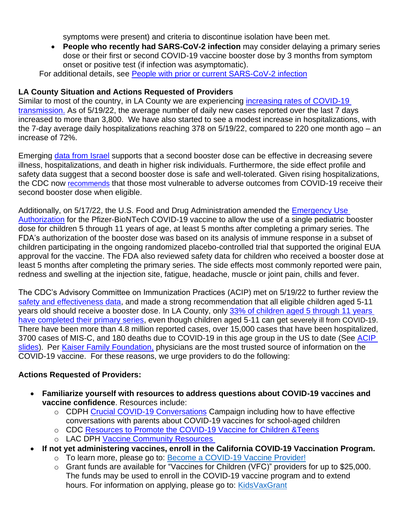symptoms were present) and criteria to discontinue isolation have been met.

• **People who recently had SARS-CoV-2 infection** may consider delaying a primary series dose or their first or second COVID-19 vaccine booster dose by 3 months from symptom onset or positive test (if infection was asymptomatic).

For additional details, see [People with prior or current SARS-CoV-2 infection](https://www.cdc.gov/vaccines/covid-19/clinical-considerations/interim-considerations-us.html#infection) 

## **LA County Situation and Actions Requested of Providers**

Similar to most of the country, in LA County we are experiencing increasing rates of COVID-19 [transmission.](http://publichealth.lacounty.gov/media/Coronavirus/docs/media/05_19_22_Slides.pdf) As of 5/19/22, the average number of daily new cases reported over the last 7 days increased to more than 3,800. We have also started to see a modest increase in hospitalizations, with the 7-day average daily hospitalizations reaching 378 on 5/19/22, compared to 220 one month ago – an increase of 72%.

Emerging [data from Israel](https://www.cdc.gov/vaccines/acip/meetings/downloads/slides-2022-04-20/05-COVID-Oliver-508.pdf) supports that a second booster dose can be effective in decreasing severe illness, hospitalizations, and death in higher risk individuals. Furthermore, the side effect profile and safety data suggest that a second booster dose is safe and well-tolerated. Given rising hospitalizations, the CDC now [recommends](https://www.cdc.gov/media/releases/2022/s0519-covid-booster-acip.html#:~:text=With%20cases%20increasing%2C%20it%20is,get%20a%20second%20booster%20dose.%E2%80%9D) that those most vulnerable to adverse outcomes from COVID-19 receive their second booster dose when eligible.

Additionally, on 5/17/22, the U.S. Food and Drug Administration amended the [Emergency Use](https://www.fda.gov/news-events/press-announcements/coronavirus-covid-19-update-fda-expands-eligibility-pfizer-biontech-covid-19-vaccine-booster-dose)  [Authorization](https://www.fda.gov/news-events/press-announcements/coronavirus-covid-19-update-fda-expands-eligibility-pfizer-biontech-covid-19-vaccine-booster-dose) for the Pfizer-BioNTech COVID-19 vaccine to allow the use of a single pediatric booster dose for children 5 through 11 years of age, at least 5 months after completing a primary series. The FDA's authorization of the booster dose was based on its analysis of immune response in a subset of children participating in the ongoing randomized placebo-controlled trial that supported the original EUA approval for the vaccine. The FDA also reviewed safety data for children who received a booster dose at least 5 months after completing the primary series. The side effects most commonly reported were pain, redness and swelling at the injection site, fatigue, headache, muscle or joint pain, chills and fever.

The CDC's Advisory Committee on Immunization Practices (ACIP) met on 5/19/22 to further review the [safety and effectiveness data,](https://www.cdc.gov/vaccines/acip/meetings/downloads/slides-2022-05-19/06-COVID-Oliver-508.pdf) and made a strong recommendation that all eligible children aged 5-11 years old should receive a booster dose. In LA County, only 33% of children aged 5 through 11 years [have completed their primary series,](http://publichealth.lacounty.gov/media/Coronavirus/vaccine/vaccine-dashboard.htm) even though children aged 5-11 can get [severely ill from COVID-19](https://www.cdc.gov/vaccines/acip/meetings/downloads/slides-2022-05-19/06-COVID-Oliver-508.pdf). There have been more than 4.8 million reported cases, over 15,000 cases that have been hospitalized, 3700 cases of MIS-C, and 180 deaths due to COVID-19 in this age group in the US to date (See [ACIP](https://www.cdc.gov/vaccines/acip/meetings/downloads/slides-2022-05-19/06-COVID-Oliver-508.pdf)  [slides\)](https://www.cdc.gov/vaccines/acip/meetings/downloads/slides-2022-05-19/06-COVID-Oliver-508.pdf). Per [Kaiser Family Foundation,](https://www.kff.org/coronavirus-covid-19/poll-finding/kff-covid-19-vaccine-monitor-april-2022/) physicians are the most trusted source of information on the COVID-19 vaccine. For these reasons, we urge providers to do the following:

# **Actions Requested of Providers:**

- **Familiarize yourself with resources to address questions about COVID-19 vaccines and vaccine confidence**. Resources include:
	- o CDPH [Crucial COVID-19 Conversations](https://eziz.org/covid/30conversations/) Campaign including how to have effective conversations with parents about COVID-19 vaccines for school-aged children
	- o CDC [Resources to Promote the COVID-19 Vaccine for Children &Teens](https://www.cdc.gov/vaccines/covid-19/planning/children/resources-promote.html?CDC_AA_refVal=https%3A%2F%2Fwww.cdc.gov%2Fvaccines%2Fcovid-19%2Fhcp%2Fpediatrician.html)
	- o LAC DPH [Vaccine Community Resources](http://www.publichealth.lacounty.gov/media/Coronavirus/vaccine/resources.htm)
- **If not yet administering vaccines, enroll in the California COVID-19 Vaccination Program.**
	- o To learn more, please go to: [Become a COVID-19 Vaccine Provider!](http://publichealth.lacounty.gov/acd/ncorona2019/docs/vaccine/ProviderEnrollmentFlyer.pdf)
	- o Grant funds are available for "Vaccines for Children (VFC)" providers for up to \$25,000. The funds may be used to enroll in the COVID-19 vaccine program and to extend hours. For information on applying, please go to: [KidsVaxGrant](https://www.phcdocs.org/Programs/CalVaxGrant)